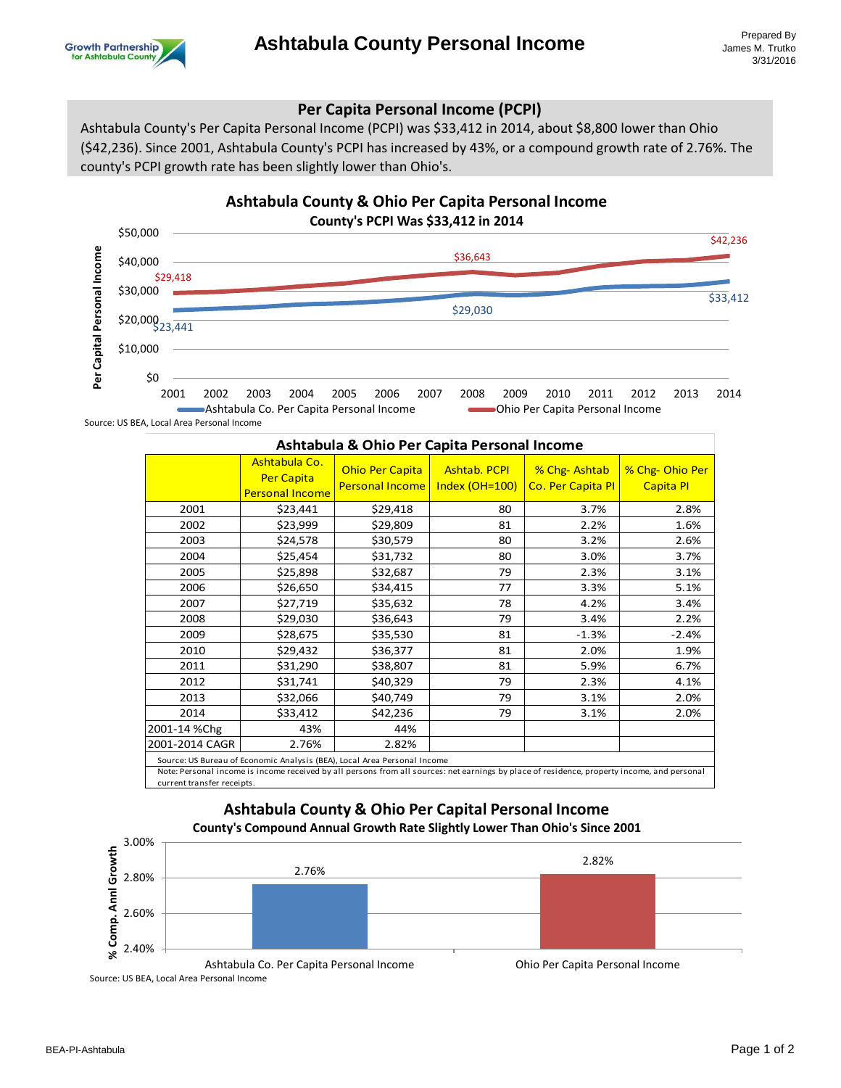

## **Per Capita Personal Income (PCPI)**

Ashtabula County's Per Capita Personal Income (PCPI) was \$33,412 in 2014, about \$8,800 lower than Ohio (\$42,236). Since 2001, Ashtabula County's PCPI has increased by 43%, or a compound growth rate of 2.76%. The county's PCPI growth rate has been slightly lower than Ohio's.



Source: US BEA, Local Area Personal Income

| Ashtabula & Ohio Per Capita Personal Income                                                                                                                                                                                                           |                                                              |                                                  |                                       |                                   |                             |  |  |  |
|-------------------------------------------------------------------------------------------------------------------------------------------------------------------------------------------------------------------------------------------------------|--------------------------------------------------------------|--------------------------------------------------|---------------------------------------|-----------------------------------|-----------------------------|--|--|--|
|                                                                                                                                                                                                                                                       | Ashtabula Co.<br><b>Per Capita</b><br><b>Personal Income</b> | <b>Ohio Per Capita</b><br><b>Personal Income</b> | <b>Ashtab. PCPI</b><br>Index (OH=100) | % Chg-Ashtab<br>Co. Per Capita PI | % Chg-Ohio Per<br>Capita PI |  |  |  |
| 2001                                                                                                                                                                                                                                                  | \$23,441                                                     | \$29,418                                         | 80                                    | 3.7%                              | 2.8%                        |  |  |  |
| 2002                                                                                                                                                                                                                                                  | \$23,999                                                     | \$29,809                                         | 81                                    | 2.2%                              | 1.6%                        |  |  |  |
| 2003                                                                                                                                                                                                                                                  | \$24,578                                                     | \$30,579                                         | 80                                    | 3.2%                              | 2.6%                        |  |  |  |
| 2004                                                                                                                                                                                                                                                  | \$25,454                                                     | \$31,732                                         | 80                                    | 3.0%                              | 3.7%                        |  |  |  |
| 2005                                                                                                                                                                                                                                                  | \$25,898                                                     | \$32,687                                         | 79                                    | 2.3%                              | 3.1%                        |  |  |  |
| 2006                                                                                                                                                                                                                                                  | \$26,650                                                     | \$34,415                                         | 77                                    | 3.3%                              | 5.1%                        |  |  |  |
| 2007                                                                                                                                                                                                                                                  | \$27,719                                                     | \$35,632                                         | 78                                    | 4.2%                              | 3.4%                        |  |  |  |
| 2008                                                                                                                                                                                                                                                  | \$29,030                                                     | \$36,643                                         | 79                                    | 3.4%                              | 2.2%                        |  |  |  |
| 2009                                                                                                                                                                                                                                                  | \$28,675                                                     | \$35,530                                         | 81                                    | $-1.3%$                           | $-2.4%$                     |  |  |  |
| 2010                                                                                                                                                                                                                                                  | \$29,432                                                     | \$36,377                                         | 81                                    | 2.0%                              | 1.9%                        |  |  |  |
| 2011                                                                                                                                                                                                                                                  | \$31,290                                                     | \$38,807                                         | 81                                    | 5.9%                              | 6.7%                        |  |  |  |
| 2012                                                                                                                                                                                                                                                  | \$31,741                                                     | \$40,329                                         | 79                                    | 2.3%                              | 4.1%                        |  |  |  |
| 2013                                                                                                                                                                                                                                                  | \$32,066                                                     | \$40,749                                         | 79                                    | 3.1%                              | 2.0%                        |  |  |  |
| 2014                                                                                                                                                                                                                                                  | \$33,412                                                     | \$42,236                                         | 79                                    | 3.1%                              | 2.0%                        |  |  |  |
| 2001-14 %Chg                                                                                                                                                                                                                                          | 43%                                                          | 44%                                              |                                       |                                   |                             |  |  |  |
| 2001-2014 CAGR                                                                                                                                                                                                                                        | 2.76%                                                        | 2.82%                                            |                                       |                                   |                             |  |  |  |
| Source: US Bureau of Economic Analysis (BEA), Local Area Personal Income<br>Note: Personal income is income received by all persons from all sources: net earnings by place of residence, property income, and personal<br>current transfer receipts. |                                                              |                                                  |                                       |                                   |                             |  |  |  |

## **Ashtabula County & Ohio Per Capital Personal Income**



**County's Compound Annual Growth Rate Slightly Lower Than Ohio's Since 2001**